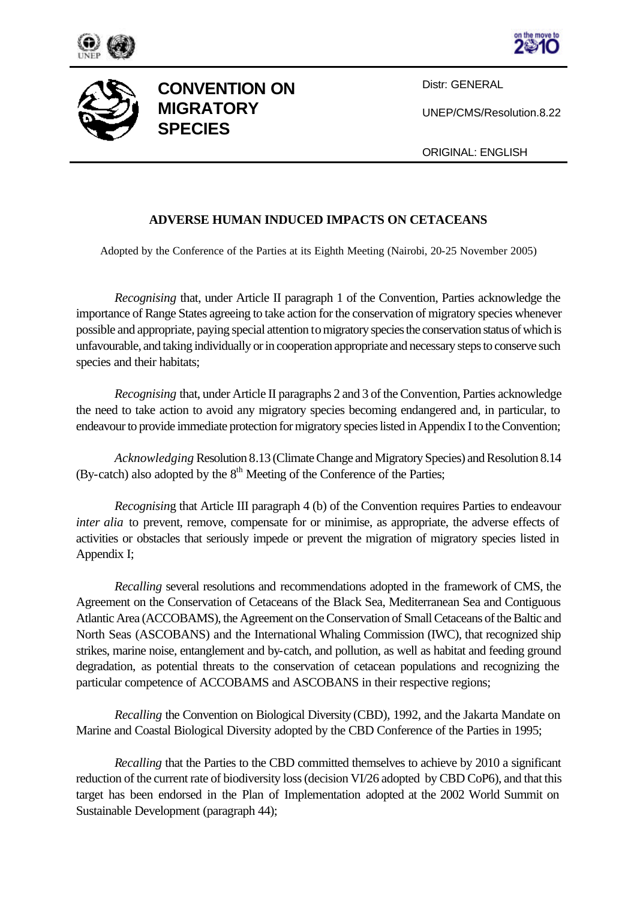





**CONVENTION ON MIGRATORY SPECIES**

Distr: GENERAL

UNEP/CMS/Resolution.8.22

ORIGINAL: ENGLISH

## **ADVERSE HUMAN INDUCED IMPACTS ON CETACEANS**

Adopted by the Conference of the Parties at its Eighth Meeting (Nairobi, 20-25 November 2005)

*Recognising* that, under Article II paragraph 1 of the Convention, Parties acknowledge the importance of Range States agreeing to take action for the conservation of migratory species whenever possible and appropriate, paying special attention to migratory species the conservation status of which is unfavourable, and taking individually or in cooperation appropriate and necessary steps to conserve such species and their habitats;

*Recognising* that, under Article II paragraphs 2 and 3 of the Convention, Parties acknowledge the need to take action to avoid any migratory species becoming endangered and, in particular, to endeavour to provide immediate protection for migratory species listed in Appendix I to the Convention;

*Acknowledging* Resolution 8.13 (Climate Change and Migratory Species) and Resolution 8.14 (By-catch) also adopted by the  $8<sup>th</sup>$  Meeting of the Conference of the Parties;

*Recognisin*g that Article III paragraph 4 (b) of the Convention requires Parties to endeavour *inter alia* to prevent, remove, compensate for or minimise, as appropriate, the adverse effects of activities or obstacles that seriously impede or prevent the migration of migratory species listed in Appendix I;

*Recalling* several resolutions and recommendations adopted in the framework of CMS, the Agreement on the Conservation of Cetaceans of the Black Sea, Mediterranean Sea and Contiguous Atlantic Area (ACCOBAMS), the Agreement on the Conservation of Small Cetaceans of the Baltic and North Seas (ASCOBANS) and the International Whaling Commission (IWC), that recognized ship strikes, marine noise, entanglement and by-catch, and pollution, as well as habitat and feeding ground degradation, as potential threats to the conservation of cetacean populations and recognizing the particular competence of ACCOBAMS and ASCOBANS in their respective regions;

*Recalling* the Convention on Biological Diversity (CBD), 1992, and the Jakarta Mandate on Marine and Coastal Biological Diversity adopted by the CBD Conference of the Parties in 1995;

*Recalling* that the Parties to the CBD committed themselves to achieve by 2010 a significant reduction of the current rate of biodiversity loss (decision VI/26 adopted by CBD CoP6), and that this target has been endorsed in the Plan of Implementation adopted at the 2002 World Summit on Sustainable Development (paragraph 44);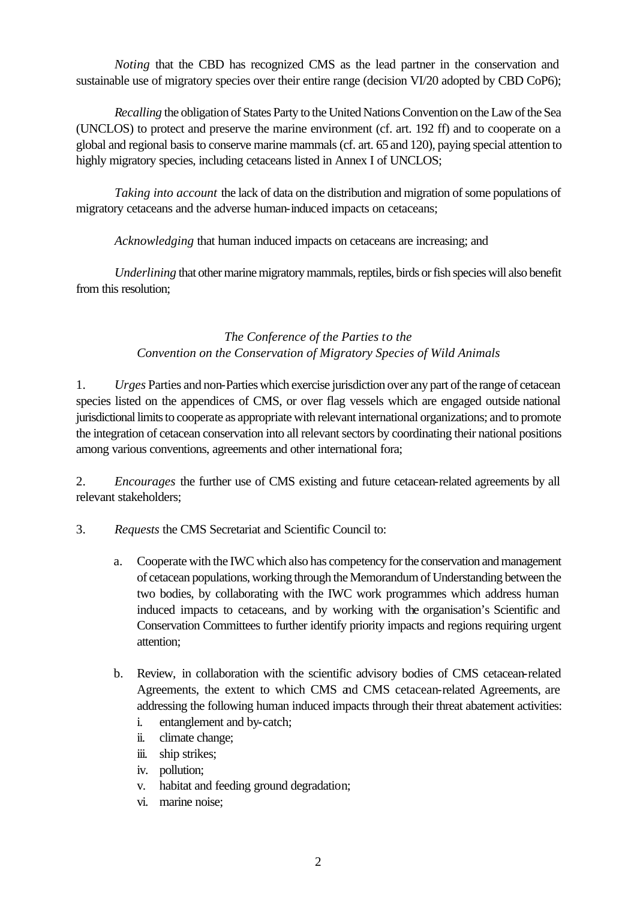*Noting* that the CBD has recognized CMS as the lead partner in the conservation and sustainable use of migratory species over their entire range (decision VI/20 adopted by CBD CoP6);

*Recalling* the obligation of States Party to the United Nations Convention on the Law of the Sea (UNCLOS) to protect and preserve the marine environment (cf. art. 192 ff) and to cooperate on a global and regional basis to conserve marine mammals (cf. art. 65 and 120), paying special attention to highly migratory species, including cetaceans listed in Annex I of UNCLOS;

*Taking into account* the lack of data on the distribution and migration of some populations of migratory cetaceans and the adverse human-induced impacts on cetaceans;

*Acknowledging* that human induced impacts on cetaceans are increasing; and

*Underlining* that other marine migratory mammals, reptiles, birds or fish species will also benefit from this resolution;

## *The Conference of the Parties to the Convention on the Conservation of Migratory Species of Wild Animals*

1. *Urges* Parties and non-Parties which exercise jurisdiction over any part of the range of cetacean species listed on the appendices of CMS, or over flag vessels which are engaged outside national jurisdictional limits to cooperate as appropriate with relevant international organizations; and to promote the integration of cetacean conservation into all relevant sectors by coordinating their national positions among various conventions, agreements and other international fora;

2. *Encourages* the further use of CMS existing and future cetacean-related agreements by all relevant stakeholders;

- 3. *Requests* the CMS Secretariat and Scientific Council to:
	- a. Cooperate with the IWC which also has competency for the conservation and management of cetacean populations, working through the Memorandum of Understanding between the two bodies, by collaborating with the IWC work programmes which address human induced impacts to cetaceans, and by working with the organisation's Scientific and Conservation Committees to further identify priority impacts and regions requiring urgent attention;
	- b. Review, in collaboration with the scientific advisory bodies of CMS cetacean-related Agreements, the extent to which CMS and CMS cetacean-related Agreements, are addressing the following human induced impacts through their threat abatement activities:
		- i. entanglement and by-catch;
		- ii. climate change;
		- iii. ship strikes;
		- iv. pollution;
		- v. habitat and feeding ground degradation;
		- vi. marine noise;